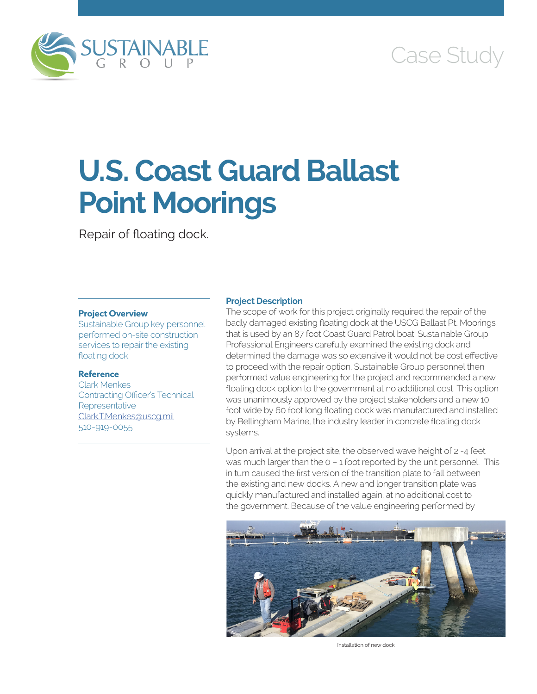

# Case Study

# **U.S. Coast Guard Ballast Point Moorings**

Repair of floating dock.

### **Project Overview**

Sustainable Group key personnel performed on-site construction services to repair the existing floating dock.

## **Reference**

Clark Menkes Contracting Officer's Technical Representative [Clark.T.Menkes@uscg.mil](mailto:Clark.T.Menkes@uscg.mil) 510-919-0055

#### **Project Description**

The scope of work for this project originally required the repair of the badly damaged existing floating dock at the USCG Ballast Pt. Moorings that is used by an 87 foot Coast Guard Patrol boat. Sustainable Group Professional Engineers carefully examined the existing dock and determined the damage was so extensive it would not be cost effective to proceed with the repair option. Sustainable Group personnel then performed value engineering for the project and recommended a new floating dock option to the government at no additional cost. This option was unanimously approved by the project stakeholders and a new 10 foot wide by 60 foot long floating dock was manufactured and installed by Bellingham Marine, the industry leader in concrete floating dock systems.

Upon arrival at the project site, the observed wave height of 2 -4 feet was much larger than the 0 – 1 foot reported by the unit personnel. This in turn caused the first version of the transition plate to fall between the existing and new docks. A new and longer transition plate was quickly manufactured and installed again, at no additional cost to the government. Because of the value engineering performed by



Installation of new dock